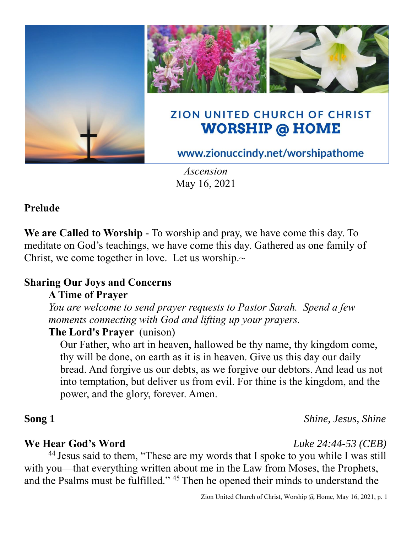

*Ascension* May 16, 2021

#### **Prelude**

**We are Called to Worship** - To worship and pray, we have come this day. To meditate on God's teachings, we have come this day. Gathered as one family of Christ, we come together in love. Let us worship. $\sim$ 

# **Sharing Our Joys and Concerns**

#### **A Time of Prayer**

*You are welcome to send prayer requests to Pastor Sarah. Spend a few moments connecting with God and lifting up your prayers.*

### **The Lord's Prayer** (unison)

Our Father, who art in heaven, hallowed be thy name, thy kingdom come, thy will be done, on earth as it is in heaven. Give us this day our daily bread. And forgive us our debts, as we forgive our debtors. And lead us not into temptation, but deliver us from evil. For thine is the kingdom, and the power, and the glory, forever. Amen.

### **Song 1** *Shine, Jesus, Shine*

#### **We Hear God's Word** *Luke 24:44-53 (CEB)*

<sup>44</sup> Jesus said to them, "These are my words that I spoke to you while I was still with you—that everything written about me in the Law from Moses, the Prophets, and the Psalms must be fulfilled." <sup>45</sup> Then he opened their minds to understand the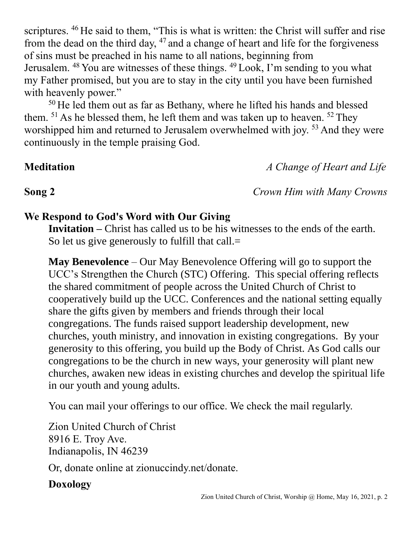scriptures. <sup>46</sup> He said to them, "This is what is written: the Christ will suffer and rise from the dead on the third day,  $47$  and a change of heart and life for the forgiveness of sins must be preached in his name to all nations, beginning from Jerusalem. <sup>48</sup> You are witnesses of these things. <sup>49</sup> Look, I'm sending to you what my Father promised, but you are to stay in the city until you have been furnished with heavenly power."

 $50$  He led them out as far as Bethany, where he lifted his hands and blessed them.  $51$  As he blessed them, he left them and was taken up to heaven.  $52$  They worshipped him and returned to Jerusalem overwhelmed with joy.<sup>53</sup> And they were continuously in the temple praising God.

**Meditation** *A Change of Heart and Life*

**Song 2** *Crown Him with Many Crowns*

#### **We Respond to God's Word with Our Giving**

**Invitation –** Christ has called us to be his witnesses to the ends of the earth. So let us give generously to fulfill that call.=

**May Benevolence** – Our May Benevolence Offering will go to support the UCC's Strengthen the Church (STC) Offering. This special offering reflects the shared commitment of people across the United Church of Christ to cooperatively build up the UCC. Conferences and the national setting equally share the gifts given by members and friends through their local congregations. The funds raised support leadership development, new churches, youth ministry, and innovation in existing congregations. By your generosity to this offering, you build up the Body of Christ. As God calls our congregations to be the church in new ways, your generosity will plant new churches, awaken new ideas in existing churches and develop the spiritual life in our youth and young adults.

You can mail your offerings to our office. We check the mail regularly.

Zion United Church of Christ 8916 E. Troy Ave. Indianapolis, IN 46239

Or, donate online at zionuccindy.net/donate.

## **Doxology**